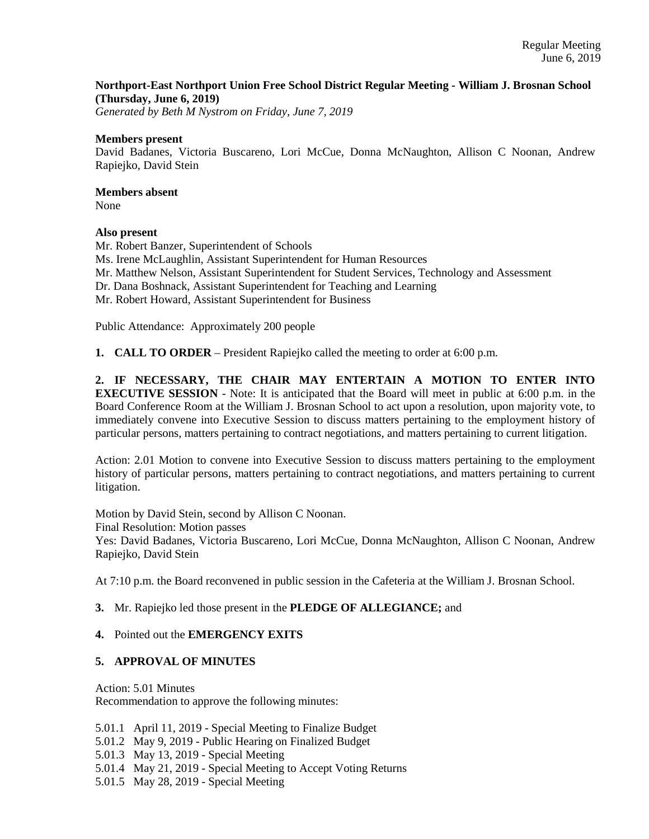### **Northport-East Northport Union Free School District Regular Meeting - William J. Brosnan School (Thursday, June 6, 2019)**

*Generated by Beth M Nystrom on Friday, June 7, 2019*

#### **Members present**

David Badanes, Victoria Buscareno, Lori McCue, Donna McNaughton, Allison C Noonan, Andrew Rapiejko, David Stein

# **Members absent**

None

### **Also present**

Mr. Robert Banzer, Superintendent of Schools Ms. Irene McLaughlin, Assistant Superintendent for Human Resources Mr. Matthew Nelson, Assistant Superintendent for Student Services, Technology and Assessment Dr. Dana Boshnack, Assistant Superintendent for Teaching and Learning Mr. Robert Howard, Assistant Superintendent for Business

Public Attendance: Approximately 200 people

**1. CALL TO ORDER** – President Rapiejko called the meeting to order at 6:00 p.m.

**2. IF NECESSARY, THE CHAIR MAY ENTERTAIN A MOTION TO ENTER INTO EXECUTIVE SESSION** - Note: It is anticipated that the Board will meet in public at 6:00 p.m. in the Board Conference Room at the William J. Brosnan School to act upon a resolution, upon majority vote, to immediately convene into Executive Session to discuss matters pertaining to the employment history of particular persons, matters pertaining to contract negotiations, and matters pertaining to current litigation.

Action: 2.01 Motion to convene into Executive Session to discuss matters pertaining to the employment history of particular persons, matters pertaining to contract negotiations, and matters pertaining to current litigation.

Motion by David Stein, second by Allison C Noonan. Final Resolution: Motion passes Yes: David Badanes, Victoria Buscareno, Lori McCue, Donna McNaughton, Allison C Noonan, Andrew Rapiejko, David Stein

At 7:10 p.m. the Board reconvened in public session in the Cafeteria at the William J. Brosnan School.

### **3.** Mr. Rapiejko led those present in the **PLEDGE OF ALLEGIANCE;** and

### **4.** Pointed out the **EMERGENCY EXITS**

### **5. APPROVAL OF MINUTES**

Action: 5.01 Minutes Recommendation to approve the following minutes:

5.01.1 April 11, 2019 - Special Meeting to Finalize Budget

5.01.2 May 9, 2019 - Public Hearing on Finalized Budget

5.01.3 May 13, 2019 - Special Meeting

5.01.4 May 21, 2019 - Special Meeting to Accept Voting Returns

5.01.5 May 28, 2019 - Special Meeting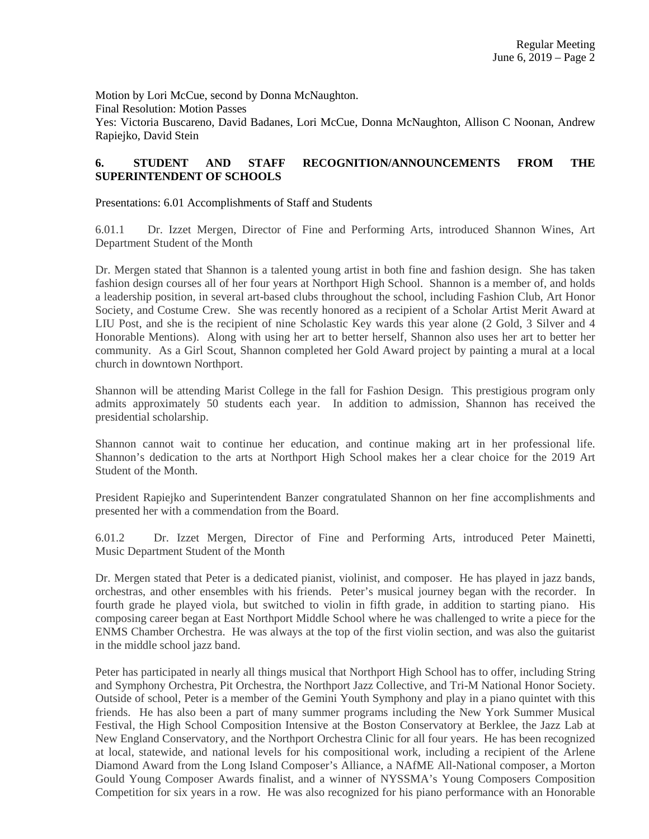Motion by Lori McCue, second by Donna McNaughton. Final Resolution: Motion Passes Yes: Victoria Buscareno, David Badanes, Lori McCue, Donna McNaughton, Allison C Noonan, Andrew Rapiejko, David Stein

## **6. STUDENT AND STAFF RECOGNITION/ANNOUNCEMENTS FROM THE SUPERINTENDENT OF SCHOOLS**

Presentations: 6.01 Accomplishments of Staff and Students

6.01.1 Dr. Izzet Mergen, Director of Fine and Performing Arts, introduced Shannon Wines, Art Department Student of the Month

Dr. Mergen stated that Shannon is a talented young artist in both fine and fashion design. She has taken fashion design courses all of her four years at Northport High School. Shannon is a member of, and holds a leadership position, in several art-based clubs throughout the school, including Fashion Club, Art Honor Society, and Costume Crew. She was recently honored as a recipient of a Scholar Artist Merit Award at LIU Post, and she is the recipient of nine Scholastic Key wards this year alone (2 Gold, 3 Silver and 4 Honorable Mentions). Along with using her art to better herself, Shannon also uses her art to better her community. As a Girl Scout, Shannon completed her Gold Award project by painting a mural at a local church in downtown Northport.

Shannon will be attending Marist College in the fall for Fashion Design. This prestigious program only admits approximately 50 students each year. In addition to admission, Shannon has received the presidential scholarship.

Shannon cannot wait to continue her education, and continue making art in her professional life. Shannon's dedication to the arts at Northport High School makes her a clear choice for the 2019 Art Student of the Month.

President Rapiejko and Superintendent Banzer congratulated Shannon on her fine accomplishments and presented her with a commendation from the Board.

6.01.2 Dr. Izzet Mergen, Director of Fine and Performing Arts, introduced Peter Mainetti, Music Department Student of the Month

Dr. Mergen stated that Peter is a dedicated pianist, violinist, and composer. He has played in jazz bands, orchestras, and other ensembles with his friends. Peter's musical journey began with the recorder. In fourth grade he played viola, but switched to violin in fifth grade, in addition to starting piano. His composing career began at East Northport Middle School where he was challenged to write a piece for the ENMS Chamber Orchestra. He was always at the top of the first violin section, and was also the guitarist in the middle school jazz band.

Peter has participated in nearly all things musical that Northport High School has to offer, including String and Symphony Orchestra, Pit Orchestra, the Northport Jazz Collective, and Tri-M National Honor Society. Outside of school, Peter is a member of the Gemini Youth Symphony and play in a piano quintet with this friends. He has also been a part of many summer programs including the New York Summer Musical Festival, the High School Composition Intensive at the Boston Conservatory at Berklee, the Jazz Lab at New England Conservatory, and the Northport Orchestra Clinic for all four years. He has been recognized at local, statewide, and national levels for his compositional work, including a recipient of the Arlene Diamond Award from the Long Island Composer's Alliance, a NAfME All-National composer, a Morton Gould Young Composer Awards finalist, and a winner of NYSSMA's Young Composers Composition Competition for six years in a row. He was also recognized for his piano performance with an Honorable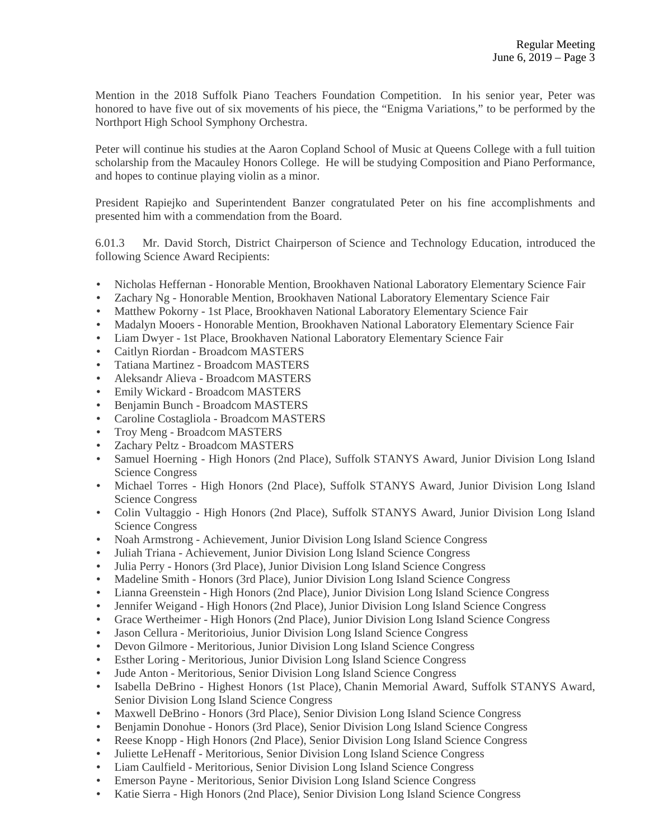Mention in the 2018 Suffolk Piano Teachers Foundation Competition. In his senior year, Peter was honored to have five out of six movements of his piece, the "Enigma Variations," to be performed by the Northport High School Symphony Orchestra.

Peter will continue his studies at the Aaron Copland School of Music at Queens College with a full tuition scholarship from the Macauley Honors College. He will be studying Composition and Piano Performance, and hopes to continue playing violin as a minor.

President Rapiejko and Superintendent Banzer congratulated Peter on his fine accomplishments and presented him with a commendation from the Board.

6.01.3 Mr. David Storch, District Chairperson of Science and Technology Education, introduced the following Science Award Recipients:

- Nicholas Heffernan Honorable Mention, Brookhaven National Laboratory Elementary Science Fair
- Zachary Ng Honorable Mention, Brookhaven National Laboratory Elementary Science Fair
- Matthew Pokorny 1st Place, Brookhaven National Laboratory Elementary Science Fair
- Madalyn Mooers Honorable Mention, Brookhaven National Laboratory Elementary Science Fair
- Liam Dwyer 1st Place, Brookhaven National Laboratory Elementary Science Fair
- Caitlyn Riordan Broadcom MASTERS
- Tatiana Martinez Broadcom MASTERS
- Aleksandr Alieva Broadcom MASTERS
- Emily Wickard Broadcom MASTERS
- Benjamin Bunch Broadcom MASTERS
- Caroline Costagliola Broadcom MASTERS
- Troy Meng Broadcom MASTERS
- Zachary Peltz Broadcom MASTERS
- Samuel Hoerning High Honors (2nd Place), Suffolk STANYS Award, Junior Division Long Island Science Congress
- Michael Torres High Honors (2nd Place), Suffolk STANYS Award, Junior Division Long Island Science Congress
- Colin Vultaggio High Honors (2nd Place), Suffolk STANYS Award, Junior Division Long Island Science Congress
- Noah Armstrong Achievement, Junior Division Long Island Science Congress
- Juliah Triana Achievement, Junior Division Long Island Science Congress
- Julia Perry Honors (3rd Place), Junior Division Long Island Science Congress
- Madeline Smith Honors (3rd Place), Junior Division Long Island Science Congress
- Lianna Greenstein High Honors (2nd Place), Junior Division Long Island Science Congress
- Jennifer Weigand High Honors (2nd Place), Junior Division Long Island Science Congress
- Grace Wertheimer High Honors (2nd Place), Junior Division Long Island Science Congress
- Jason Cellura Meritorioius, Junior Division Long Island Science Congress
- Devon Gilmore Meritorious, Junior Division Long Island Science Congress
- Esther Loring Meritorious, Junior Division Long Island Science Congress
- Jude Anton Meritorious, Senior Division Long Island Science Congress
- Isabella DeBrino Highest Honors (1st Place), Chanin Memorial Award, Suffolk STANYS Award, Senior Division Long Island Science Congress
- Maxwell DeBrino Honors (3rd Place), Senior Division Long Island Science Congress
- Benjamin Donohue Honors (3rd Place), Senior Division Long Island Science Congress
- Reese Knopp High Honors (2nd Place), Senior Division Long Island Science Congress
- Juliette LeHenaff Meritorious, Senior Division Long Island Science Congress
- Liam Caulfield Meritorious, Senior Division Long Island Science Congress
- Emerson Payne Meritorious, Senior Division Long Island Science Congress
- Katie Sierra High Honors (2nd Place), Senior Division Long Island Science Congress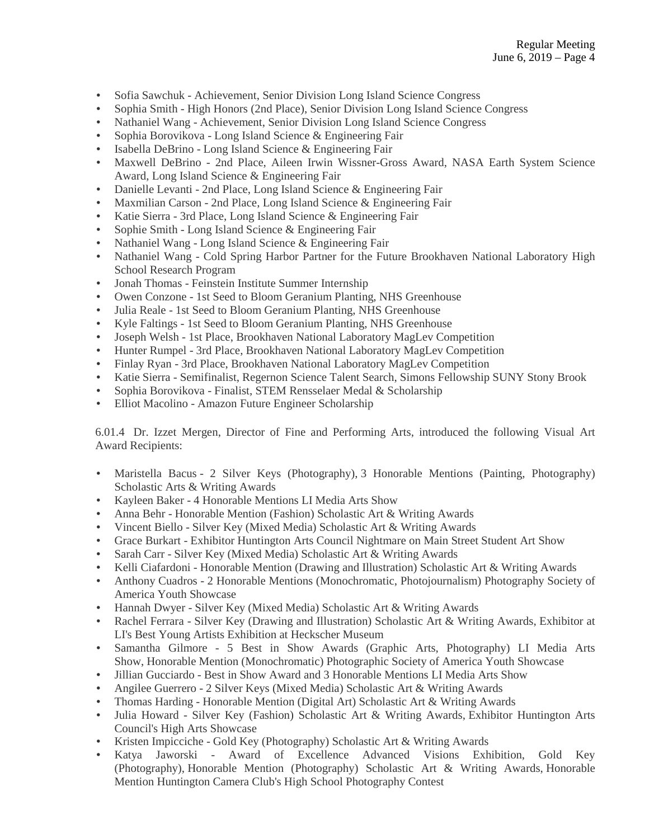- Sofia Sawchuk Achievement, Senior Division Long Island Science Congress
- Sophia Smith High Honors (2nd Place), Senior Division Long Island Science Congress
- Nathaniel Wang Achievement, Senior Division Long Island Science Congress
- Sophia Borovikova Long Island Science & Engineering Fair
- Isabella DeBrino Long Island Science & Engineering Fair
- Maxwell DeBrino 2nd Place, Aileen Irwin Wissner-Gross Award, NASA Earth System Science Award, Long Island Science & Engineering Fair
- Danielle Levanti 2nd Place, Long Island Science & Engineering Fair
- Maxmilian Carson 2nd Place, Long Island Science & Engineering Fair
- Katie Sierra 3rd Place, Long Island Science & Engineering Fair
- Sophie Smith Long Island Science & Engineering Fair
- Nathaniel Wang Long Island Science & Engineering Fair
- Nathaniel Wang Cold Spring Harbor Partner for the Future Brookhaven National Laboratory High School Research Program
- Jonah Thomas Feinstein Institute Summer Internship
- Owen Conzone 1st Seed to Bloom Geranium Planting, NHS Greenhouse
- Julia Reale 1st Seed to Bloom Geranium Planting, NHS Greenhouse
- Kyle Faltings 1st Seed to Bloom Geranium Planting, NHS Greenhouse
- Joseph Welsh 1st Place, Brookhaven National Laboratory MagLev Competition
- Hunter Rumpel 3rd Place, Brookhaven National Laboratory MagLev Competition
- Finlay Ryan 3rd Place, Brookhaven National Laboratory MagLev Competition
- Katie Sierra Semifinalist, Regernon Science Talent Search, Simons Fellowship SUNY Stony Brook
- Sophia Borovikova Finalist, STEM Rensselaer Medal & Scholarship
- Elliot Macolino Amazon Future Engineer Scholarship

6.01.4 Dr. Izzet Mergen, Director of Fine and Performing Arts, introduced the following Visual Art Award Recipients:

- Maristella Bacus 2 Silver Keys (Photography), 3 Honorable Mentions (Painting, Photography) Scholastic Arts & Writing Awards
- Kayleen Baker 4 Honorable Mentions LI Media Arts Show
- Anna Behr Honorable Mention (Fashion) Scholastic Art & Writing Awards
- Vincent Biello Silver Key (Mixed Media) Scholastic Art & Writing Awards
- Grace Burkart Exhibitor Huntington Arts Council Nightmare on Main Street Student Art Show
- Sarah Carr Silver Key (Mixed Media) Scholastic Art & Writing Awards
- Kelli Ciafardoni Honorable Mention (Drawing and Illustration) Scholastic Art & Writing Awards
- Anthony Cuadros 2 Honorable Mentions (Monochromatic, Photojournalism) Photography Society of America Youth Showcase
- Hannah Dwyer Silver Key (Mixed Media) Scholastic Art & Writing Awards
- Rachel Ferrara Silver Key (Drawing and Illustration) Scholastic Art & Writing Awards, Exhibitor at LI's Best Young Artists Exhibition at Heckscher Museum
- Samantha Gilmore 5 Best in Show Awards (Graphic Arts, Photography) LI Media Arts Show, Honorable Mention (Monochromatic) Photographic Society of America Youth Showcase
- Jillian Gucciardo Best in Show Award and 3 Honorable Mentions LI Media Arts Show
- Angilee Guerrero 2 Silver Keys (Mixed Media) Scholastic Art & Writing Awards
- Thomas Harding Honorable Mention (Digital Art) Scholastic Art & Writing Awards
- Julia Howard Silver Key (Fashion) Scholastic Art & Writing Awards, Exhibitor Huntington Arts Council's High Arts Showcase
- Kristen Impicciche Gold Key (Photography) Scholastic Art & Writing Awards
- Katya Jaworski Award of Excellence Advanced Visions Exhibition, Gold Key (Photography), Honorable Mention (Photography) Scholastic Art & Writing Awards, Honorable Mention Huntington Camera Club's High School Photography Contest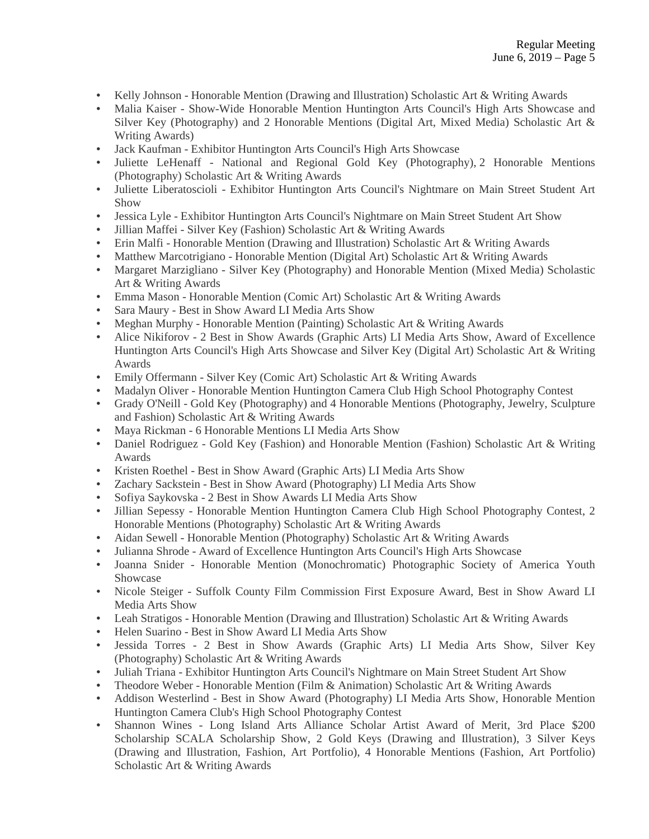- Kelly Johnson Honorable Mention (Drawing and Illustration) Scholastic Art & Writing Awards
- Malia Kaiser Show-Wide Honorable Mention Huntington Arts Council's High Arts Showcase and Silver Key (Photography) and 2 Honorable Mentions (Digital Art, Mixed Media) Scholastic Art & Writing Awards)
- Jack Kaufman Exhibitor Huntington Arts Council's High Arts Showcase
- Juliette LeHenaff National and Regional Gold Key (Photography), 2 Honorable Mentions (Photography) Scholastic Art & Writing Awards
- Juliette Liberatoscioli Exhibitor Huntington Arts Council's Nightmare on Main Street Student Art Show
- Jessica Lyle Exhibitor Huntington Arts Council's Nightmare on Main Street Student Art Show
- Jillian Maffei Silver Key (Fashion) Scholastic Art & Writing Awards
- Erin Malfi Honorable Mention (Drawing and Illustration) Scholastic Art & Writing Awards
- Matthew Marcotrigiano Honorable Mention (Digital Art) Scholastic Art & Writing Awards
- Margaret Marzigliano Silver Key (Photography) and Honorable Mention (Mixed Media) Scholastic Art & Writing Awards
- Emma Mason Honorable Mention (Comic Art) Scholastic Art & Writing Awards
- Sara Maury Best in Show Award LI Media Arts Show
- Meghan Murphy Honorable Mention (Painting) Scholastic Art & Writing Awards
- Alice Nikiforov 2 Best in Show Awards (Graphic Arts) LI Media Arts Show, Award of Excellence Huntington Arts Council's High Arts Showcase and Silver Key (Digital Art) Scholastic Art & Writing Awards
- Emily Offermann Silver Key (Comic Art) Scholastic Art & Writing Awards
- Madalyn Oliver Honorable Mention Huntington Camera Club High School Photography Contest
- Grady O'Neill Gold Key (Photography) and 4 Honorable Mentions (Photography, Jewelry, Sculpture and Fashion) Scholastic Art & Writing Awards
- Maya Rickman 6 Honorable Mentions LI Media Arts Show
- Daniel Rodriguez Gold Key (Fashion) and Honorable Mention (Fashion) Scholastic Art & Writing Awards
- Kristen Roethel Best in Show Award (Graphic Arts) LI Media Arts Show
- Zachary Sackstein Best in Show Award (Photography) LI Media Arts Show
- Sofiya Saykovska 2 Best in Show Awards LI Media Arts Show
- Jillian Sepessy Honorable Mention Huntington Camera Club High School Photography Contest, 2 Honorable Mentions (Photography) Scholastic Art & Writing Awards
- Aidan Sewell Honorable Mention (Photography) Scholastic Art & Writing Awards
- Julianna Shrode Award of Excellence Huntington Arts Council's High Arts Showcase
- Joanna Snider Honorable Mention (Monochromatic) Photographic Society of America Youth Showcase
- Nicole Steiger Suffolk County Film Commission First Exposure Award, Best in Show Award LI Media Arts Show
- Leah Stratigos Honorable Mention (Drawing and Illustration) Scholastic Art & Writing Awards
- Helen Suarino Best in Show Award LI Media Arts Show
- Jessida Torres 2 Best in Show Awards (Graphic Arts) LI Media Arts Show, Silver Key (Photography) Scholastic Art & Writing Awards
- Juliah Triana Exhibitor Huntington Arts Council's Nightmare on Main Street Student Art Show
- Theodore Weber Honorable Mention (Film & Animation) Scholastic Art & Writing Awards
- Addison Westerlind Best in Show Award (Photography) LI Media Arts Show, Honorable Mention Huntington Camera Club's High School Photography Contest
- Shannon Wines Long Island Arts Alliance Scholar Artist Award of Merit, 3rd Place \$200 Scholarship SCALA Scholarship Show, 2 Gold Keys (Drawing and Illustration), 3 Silver Keys (Drawing and Illustration, Fashion, Art Portfolio), 4 Honorable Mentions (Fashion, Art Portfolio) Scholastic Art & Writing Awards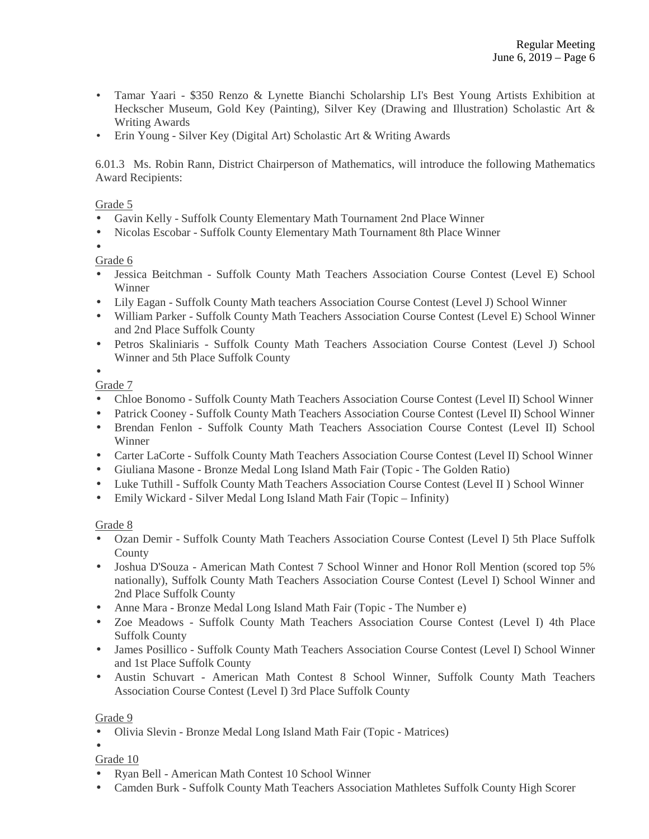- Tamar Yaari \$350 Renzo & Lynette Bianchi Scholarship LI's Best Young Artists Exhibition at Heckscher Museum, Gold Key (Painting), Silver Key (Drawing and Illustration) Scholastic Art & Writing Awards
- Erin Young Silver Key (Digital Art) Scholastic Art & Writing Awards

6.01.3 Ms. Robin Rann, District Chairperson of Mathematics, will introduce the following Mathematics Award Recipients:

## Grade 5

- Gavin Kelly Suffolk County Elementary Math Tournament 2nd Place Winner
- Nicolas Escobar Suffolk County Elementary Math Tournament 8th Place Winner

•

- Grade 6
- Jessica Beitchman Suffolk County Math Teachers Association Course Contest (Level E) School Winner
- Lily Eagan Suffolk County Math teachers Association Course Contest (Level J) School Winner
- William Parker Suffolk County Math Teachers Association Course Contest (Level E) School Winner and 2nd Place Suffolk County
- Petros Skaliniaris Suffolk County Math Teachers Association Course Contest (Level J) School Winner and 5th Place Suffolk County

•

Grade 7

- Chloe Bonomo Suffolk County Math Teachers Association Course Contest (Level II) School Winner
- Patrick Cooney Suffolk County Math Teachers Association Course Contest (Level II) School Winner
- Brendan Fenlon Suffolk County Math Teachers Association Course Contest (Level II) School Winner
- Carter LaCorte Suffolk County Math Teachers Association Course Contest (Level II) School Winner
- Giuliana Masone Bronze Medal Long Island Math Fair (Topic The Golden Ratio)
- Luke Tuthill Suffolk County Math Teachers Association Course Contest (Level II ) School Winner
- Emily Wickard Silver Medal Long Island Math Fair (Topic Infinity)

# Grade 8

- Ozan Demir Suffolk County Math Teachers Association Course Contest (Level I) 5th Place Suffolk County
- Joshua D'Souza American Math Contest 7 School Winner and Honor Roll Mention (scored top 5% nationally), Suffolk County Math Teachers Association Course Contest (Level I) School Winner and 2nd Place Suffolk County
- Anne Mara Bronze Medal Long Island Math Fair (Topic The Number e)
- Zoe Meadows Suffolk County Math Teachers Association Course Contest (Level I) 4th Place Suffolk County
- James Posillico Suffolk County Math Teachers Association Course Contest (Level I) School Winner and 1st Place Suffolk County
- Austin Schuvart American Math Contest 8 School Winner, Suffolk County Math Teachers Association Course Contest (Level I) 3rd Place Suffolk County

# Grade 9

- Olivia Slevin Bronze Medal Long Island Math Fair (Topic Matrices)
- •

Grade 10

- Ryan Bell American Math Contest 10 School Winner
- Camden Burk Suffolk County Math Teachers Association Mathletes Suffolk County High Scorer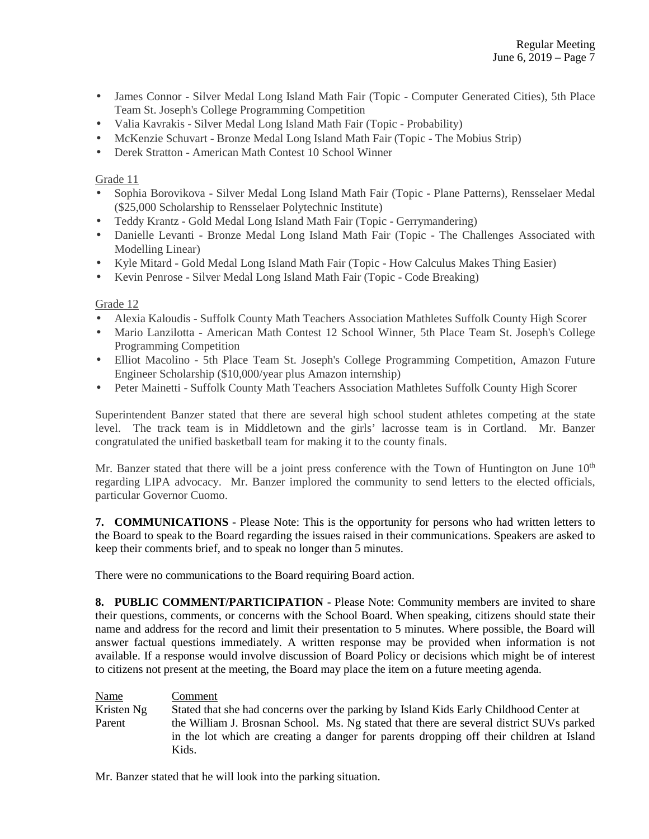- James Connor Silver Medal Long Island Math Fair (Topic Computer Generated Cities), 5th Place Team St. Joseph's College Programming Competition
- Valia Kavrakis Silver Medal Long Island Math Fair (Topic Probability)
- McKenzie Schuvart Bronze Medal Long Island Math Fair (Topic The Mobius Strip)
- Derek Stratton American Math Contest 10 School Winner

### Grade 11

- Sophia Borovikova Silver Medal Long Island Math Fair (Topic Plane Patterns), Rensselaer Medal (\$25,000 Scholarship to Rensselaer Polytechnic Institute)
- Teddy Krantz Gold Medal Long Island Math Fair (Topic Gerrymandering)
- Danielle Levanti Bronze Medal Long Island Math Fair (Topic The Challenges Associated with Modelling Linear)
- Kyle Mitard Gold Medal Long Island Math Fair (Topic How Calculus Makes Thing Easier)
- Kevin Penrose Silver Medal Long Island Math Fair (Topic Code Breaking)

### Grade 12

- Alexia Kaloudis Suffolk County Math Teachers Association Mathletes Suffolk County High Scorer
- Mario Lanzilotta American Math Contest 12 School Winner, 5th Place Team St. Joseph's College Programming Competition
- Elliot Macolino 5th Place Team St. Joseph's College Programming Competition, Amazon Future Engineer Scholarship (\$10,000/year plus Amazon internship)
- Peter Mainetti Suffolk County Math Teachers Association Mathletes Suffolk County High Scorer

Superintendent Banzer stated that there are several high school student athletes competing at the state level. The track team is in Middletown and the girls' lacrosse team is in Cortland. Mr. Banzer congratulated the unified basketball team for making it to the county finals.

Mr. Banzer stated that there will be a joint press conference with the Town of Huntington on June  $10<sup>th</sup>$ regarding LIPA advocacy. Mr. Banzer implored the community to send letters to the elected officials, particular Governor Cuomo.

**7. COMMUNICATIONS** - Please Note: This is the opportunity for persons who had written letters to the Board to speak to the Board regarding the issues raised in their communications. Speakers are asked to keep their comments brief, and to speak no longer than 5 minutes.

There were no communications to the Board requiring Board action.

**8. PUBLIC COMMENT/PARTICIPATION** - Please Note: Community members are invited to share their questions, comments, or concerns with the School Board. When speaking, citizens should state their name and address for the record and limit their presentation to 5 minutes. Where possible, the Board will answer factual questions immediately. A written response may be provided when information is not available. If a response would involve discussion of Board Policy or decisions which might be of interest to citizens not present at the meeting, the Board may place the item on a future meeting agenda.

| <b>Name</b> | Comment                                                                                                                                                                              |
|-------------|--------------------------------------------------------------------------------------------------------------------------------------------------------------------------------------|
| Kristen Ng  | Stated that she had concerns over the parking by Island Kids Early Childhood Center at                                                                                               |
| Parent      | the William J. Brosnan School. Ms. Ng stated that there are several district SUVs parked<br>in the lot which are creating a danger for parents dropping off their children at Island |
|             | Kids.                                                                                                                                                                                |

Mr. Banzer stated that he will look into the parking situation.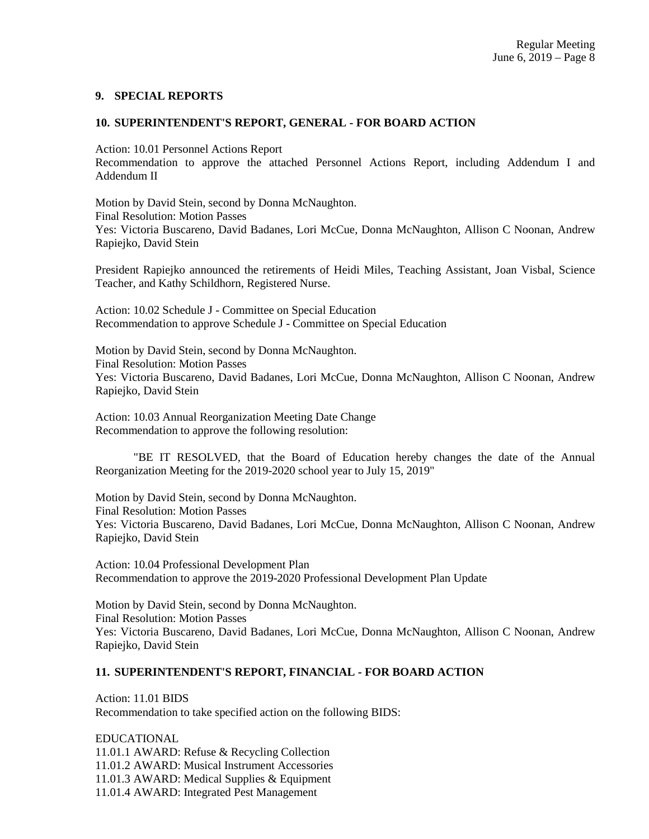#### **9. SPECIAL REPORTS**

#### **10. SUPERINTENDENT'S REPORT, GENERAL - FOR BOARD ACTION**

Action: 10.01 Personnel Actions Report

Recommendation to approve the attached Personnel Actions Report, including Addendum I and Addendum II

Motion by David Stein, second by Donna McNaughton. Final Resolution: Motion Passes Yes: Victoria Buscareno, David Badanes, Lori McCue, Donna McNaughton, Allison C Noonan, Andrew Rapiejko, David Stein

President Rapiejko announced the retirements of Heidi Miles, Teaching Assistant, Joan Visbal, Science Teacher, and Kathy Schildhorn, Registered Nurse.

Action: 10.02 Schedule J - Committee on Special Education Recommendation to approve Schedule J - Committee on Special Education

Motion by David Stein, second by Donna McNaughton. Final Resolution: Motion Passes Yes: Victoria Buscareno, David Badanes, Lori McCue, Donna McNaughton, Allison C Noonan, Andrew Rapiejko, David Stein

Action: 10.03 Annual Reorganization Meeting Date Change Recommendation to approve the following resolution:

"BE IT RESOLVED, that the Board of Education hereby changes the date of the Annual Reorganization Meeting for the 2019-2020 school year to July 15, 2019"

Motion by David Stein, second by Donna McNaughton. Final Resolution: Motion Passes Yes: Victoria Buscareno, David Badanes, Lori McCue, Donna McNaughton, Allison C Noonan, Andrew Rapiejko, David Stein

Action: 10.04 Professional Development Plan Recommendation to approve the 2019-2020 Professional Development Plan Update

Motion by David Stein, second by Donna McNaughton. Final Resolution: Motion Passes Yes: Victoria Buscareno, David Badanes, Lori McCue, Donna McNaughton, Allison C Noonan, Andrew Rapiejko, David Stein

# **11. SUPERINTENDENT'S REPORT, FINANCIAL - FOR BOARD ACTION**

Action: 11.01 BIDS Recommendation to take specified action on the following BIDS:

EDUCATIONAL 11.01.1 AWARD: Refuse & Recycling Collection 11.01.2 AWARD: Musical Instrument Accessories 11.01.3 AWARD: Medical Supplies & Equipment 11.01.4 AWARD: Integrated Pest Management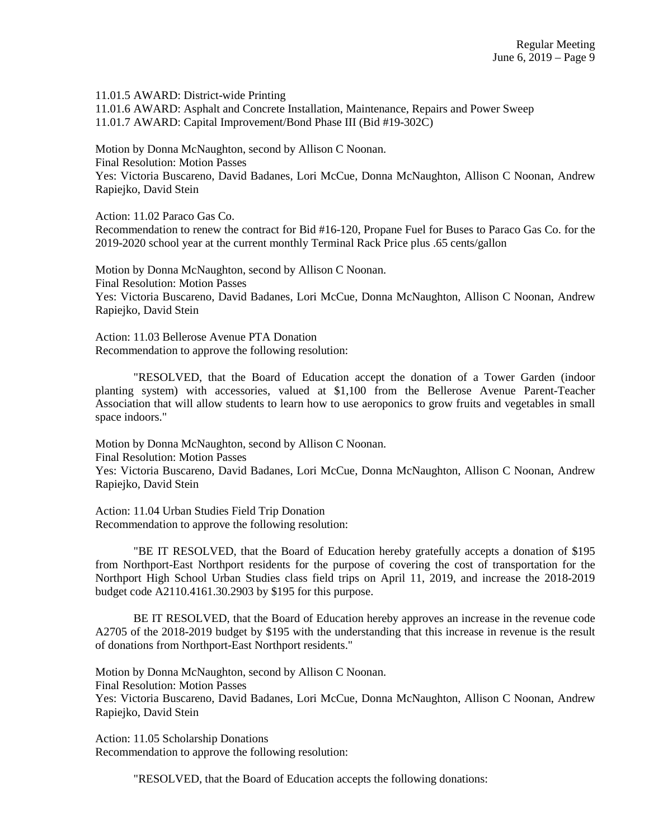11.01.5 AWARD: District-wide Printing 11.01.6 AWARD: Asphalt and Concrete Installation, Maintenance, Repairs and Power Sweep 11.01.7 AWARD: Capital Improvement/Bond Phase III (Bid #19-302C)

Motion by Donna McNaughton, second by Allison C Noonan. Final Resolution: Motion Passes Yes: Victoria Buscareno, David Badanes, Lori McCue, Donna McNaughton, Allison C Noonan, Andrew Rapiejko, David Stein

Action: 11.02 Paraco Gas Co. Recommendation to renew the contract for Bid #16-120, Propane Fuel for Buses to Paraco Gas Co. for the 2019-2020 school year at the current monthly Terminal Rack Price plus .65 cents/gallon

Motion by Donna McNaughton, second by Allison C Noonan. Final Resolution: Motion Passes Yes: Victoria Buscareno, David Badanes, Lori McCue, Donna McNaughton, Allison C Noonan, Andrew Rapiejko, David Stein

Action: 11.03 Bellerose Avenue PTA Donation Recommendation to approve the following resolution:

"RESOLVED, that the Board of Education accept the donation of a Tower Garden (indoor planting system) with accessories, valued at \$1,100 from the Bellerose Avenue Parent-Teacher Association that will allow students to learn how to use aeroponics to grow fruits and vegetables in small space indoors."

Motion by Donna McNaughton, second by Allison C Noonan. Final Resolution: Motion Passes Yes: Victoria Buscareno, David Badanes, Lori McCue, Donna McNaughton, Allison C Noonan, Andrew Rapiejko, David Stein

Action: 11.04 Urban Studies Field Trip Donation Recommendation to approve the following resolution:

"BE IT RESOLVED, that the Board of Education hereby gratefully accepts a donation of \$195 from Northport-East Northport residents for the purpose of covering the cost of transportation for the Northport High School Urban Studies class field trips on April 11, 2019, and increase the 2018-2019 budget code A2110.4161.30.2903 by \$195 for this purpose.

BE IT RESOLVED, that the Board of Education hereby approves an increase in the revenue code A2705 of the 2018-2019 budget by \$195 with the understanding that this increase in revenue is the result of donations from Northport-East Northport residents."

Motion by Donna McNaughton, second by Allison C Noonan. Final Resolution: Motion Passes Yes: Victoria Buscareno, David Badanes, Lori McCue, Donna McNaughton, Allison C Noonan, Andrew Rapiejko, David Stein

Action: 11.05 Scholarship Donations Recommendation to approve the following resolution:

"RESOLVED, that the Board of Education accepts the following donations: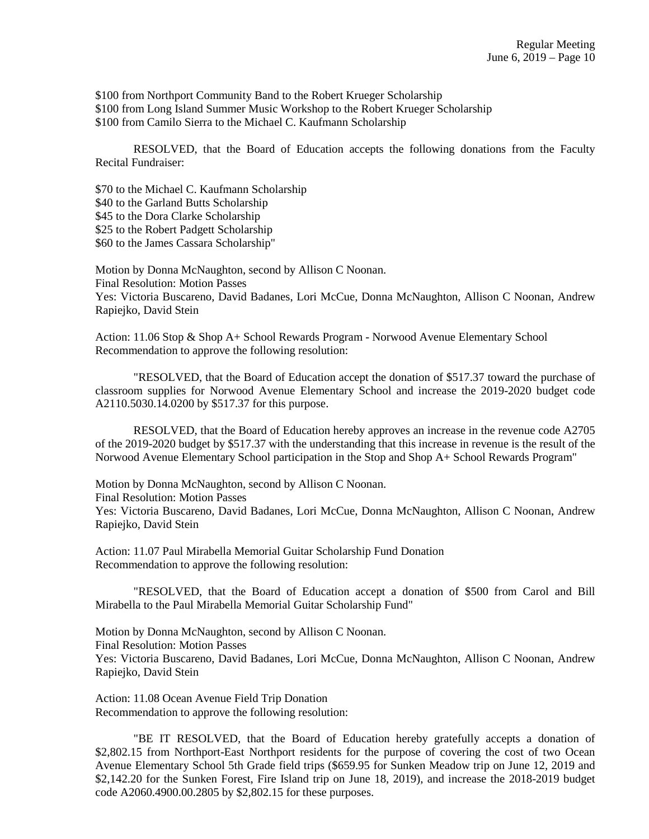\$100 from Northport Community Band to the Robert Krueger Scholarship \$100 from Long Island Summer Music Workshop to the Robert Krueger Scholarship \$100 from Camilo Sierra to the Michael C. Kaufmann Scholarship

RESOLVED, that the Board of Education accepts the following donations from the Faculty Recital Fundraiser:

\$70 to the Michael C. Kaufmann Scholarship \$40 to the Garland Butts Scholarship \$45 to the Dora Clarke Scholarship \$25 to the Robert Padgett Scholarship \$60 to the James Cassara Scholarship"

Motion by Donna McNaughton, second by Allison C Noonan. Final Resolution: Motion Passes Yes: Victoria Buscareno, David Badanes, Lori McCue, Donna McNaughton, Allison C Noonan, Andrew Rapiejko, David Stein

Action: 11.06 Stop & Shop A+ School Rewards Program - Norwood Avenue Elementary School Recommendation to approve the following resolution:

"RESOLVED, that the Board of Education accept the donation of \$517.37 toward the purchase of classroom supplies for Norwood Avenue Elementary School and increase the 2019-2020 budget code A2110.5030.14.0200 by \$517.37 for this purpose.

RESOLVED, that the Board of Education hereby approves an increase in the revenue code A2705 of the 2019-2020 budget by \$517.37 with the understanding that this increase in revenue is the result of the Norwood Avenue Elementary School participation in the Stop and Shop A+ School Rewards Program"

Motion by Donna McNaughton, second by Allison C Noonan. Final Resolution: Motion Passes Yes: Victoria Buscareno, David Badanes, Lori McCue, Donna McNaughton, Allison C Noonan, Andrew Rapiejko, David Stein

Action: 11.07 Paul Mirabella Memorial Guitar Scholarship Fund Donation Recommendation to approve the following resolution:

"RESOLVED, that the Board of Education accept a donation of \$500 from Carol and Bill Mirabella to the Paul Mirabella Memorial Guitar Scholarship Fund"

Motion by Donna McNaughton, second by Allison C Noonan. Final Resolution: Motion Passes Yes: Victoria Buscareno, David Badanes, Lori McCue, Donna McNaughton, Allison C Noonan, Andrew Rapiejko, David Stein

Action: 11.08 Ocean Avenue Field Trip Donation Recommendation to approve the following resolution:

"BE IT RESOLVED, that the Board of Education hereby gratefully accepts a donation of \$2,802.15 from Northport-East Northport residents for the purpose of covering the cost of two Ocean Avenue Elementary School 5th Grade field trips (\$659.95 for Sunken Meadow trip on June 12, 2019 and \$2,142.20 for the Sunken Forest, Fire Island trip on June 18, 2019), and increase the 2018-2019 budget code A2060.4900.00.2805 by \$2,802.15 for these purposes.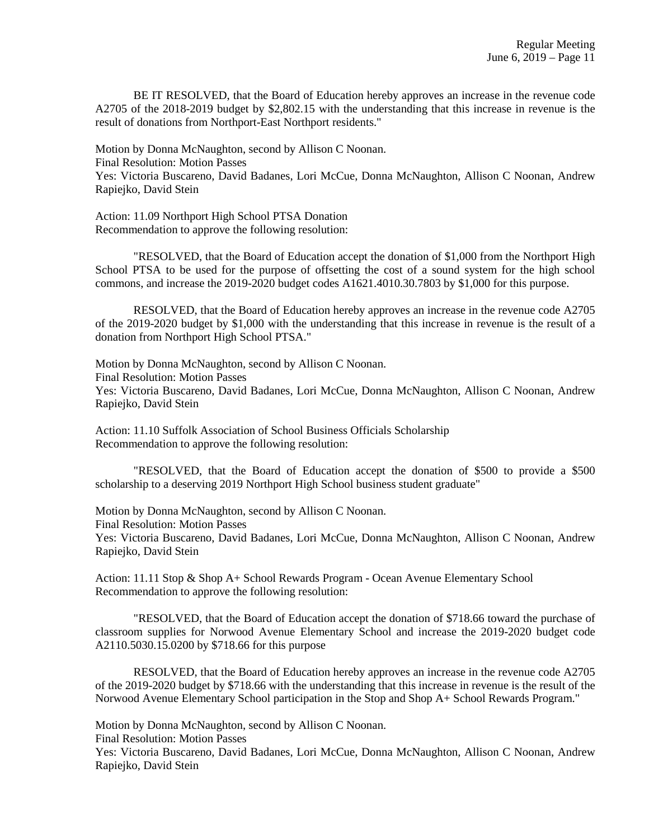BE IT RESOLVED, that the Board of Education hereby approves an increase in the revenue code A2705 of the 2018-2019 budget by \$2,802.15 with the understanding that this increase in revenue is the result of donations from Northport-East Northport residents."

Motion by Donna McNaughton, second by Allison C Noonan. Final Resolution: Motion Passes Yes: Victoria Buscareno, David Badanes, Lori McCue, Donna McNaughton, Allison C Noonan, Andrew Rapiejko, David Stein

Action: 11.09 Northport High School PTSA Donation Recommendation to approve the following resolution:

"RESOLVED, that the Board of Education accept the donation of \$1,000 from the Northport High School PTSA to be used for the purpose of offsetting the cost of a sound system for the high school commons, and increase the 2019-2020 budget codes A1621.4010.30.7803 by \$1,000 for this purpose.

RESOLVED, that the Board of Education hereby approves an increase in the revenue code A2705 of the 2019-2020 budget by \$1,000 with the understanding that this increase in revenue is the result of a donation from Northport High School PTSA."

Motion by Donna McNaughton, second by Allison C Noonan. Final Resolution: Motion Passes Yes: Victoria Buscareno, David Badanes, Lori McCue, Donna McNaughton, Allison C Noonan, Andrew Rapiejko, David Stein

Action: 11.10 Suffolk Association of School Business Officials Scholarship Recommendation to approve the following resolution:

"RESOLVED, that the Board of Education accept the donation of \$500 to provide a \$500 scholarship to a deserving 2019 Northport High School business student graduate"

Motion by Donna McNaughton, second by Allison C Noonan. Final Resolution: Motion Passes Yes: Victoria Buscareno, David Badanes, Lori McCue, Donna McNaughton, Allison C Noonan, Andrew Rapiejko, David Stein

Action: 11.11 Stop & Shop A+ School Rewards Program - Ocean Avenue Elementary School Recommendation to approve the following resolution:

"RESOLVED, that the Board of Education accept the donation of \$718.66 toward the purchase of classroom supplies for Norwood Avenue Elementary School and increase the 2019-2020 budget code A2110.5030.15.0200 by \$718.66 for this purpose

RESOLVED, that the Board of Education hereby approves an increase in the revenue code A2705 of the 2019-2020 budget by \$718.66 with the understanding that this increase in revenue is the result of the Norwood Avenue Elementary School participation in the Stop and Shop A+ School Rewards Program."

Motion by Donna McNaughton, second by Allison C Noonan.

Final Resolution: Motion Passes

Yes: Victoria Buscareno, David Badanes, Lori McCue, Donna McNaughton, Allison C Noonan, Andrew Rapiejko, David Stein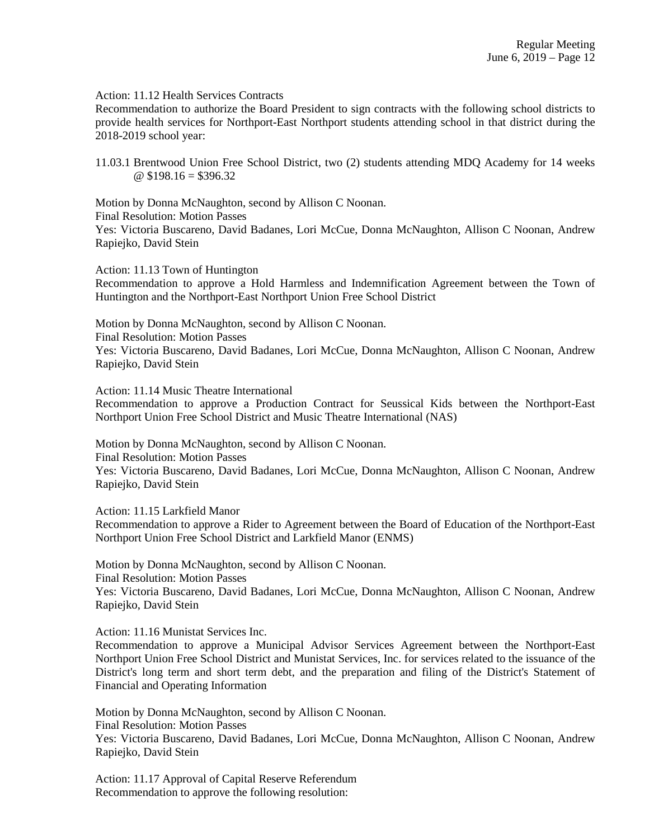Action: 11.12 Health Services Contracts

Recommendation to authorize the Board President to sign contracts with the following school districts to provide health services for Northport-East Northport students attending school in that district during the 2018-2019 school year:

11.03.1 Brentwood Union Free School District, two (2) students attending MDQ Academy for 14 weeks  $@$  \$198.16 = \$396.32

Motion by Donna McNaughton, second by Allison C Noonan. Final Resolution: Motion Passes Yes: Victoria Buscareno, David Badanes, Lori McCue, Donna McNaughton, Allison C Noonan, Andrew Rapiejko, David Stein

Action: 11.13 Town of Huntington

Recommendation to approve a Hold Harmless and Indemnification Agreement between the Town of Huntington and the Northport-East Northport Union Free School District

Motion by Donna McNaughton, second by Allison C Noonan. Final Resolution: Motion Passes Yes: Victoria Buscareno, David Badanes, Lori McCue, Donna McNaughton, Allison C Noonan, Andrew Rapiejko, David Stein

Action: 11.14 Music Theatre International

Recommendation to approve a Production Contract for Seussical Kids between the Northport-East Northport Union Free School District and Music Theatre International (NAS)

Motion by Donna McNaughton, second by Allison C Noonan. Final Resolution: Motion Passes Yes: Victoria Buscareno, David Badanes, Lori McCue, Donna McNaughton, Allison C Noonan, Andrew Rapiejko, David Stein

Action: 11.15 Larkfield Manor Recommendation to approve a Rider to Agreement between the Board of Education of the Northport-East Northport Union Free School District and Larkfield Manor (ENMS)

Motion by Donna McNaughton, second by Allison C Noonan. Final Resolution: Motion Passes Yes: Victoria Buscareno, David Badanes, Lori McCue, Donna McNaughton, Allison C Noonan, Andrew Rapiejko, David Stein

Action: 11.16 Munistat Services Inc.

Recommendation to approve a Municipal Advisor Services Agreement between the Northport-East Northport Union Free School District and Munistat Services, Inc. for services related to the issuance of the District's long term and short term debt, and the preparation and filing of the District's Statement of Financial and Operating Information

Motion by Donna McNaughton, second by Allison C Noonan. Final Resolution: Motion Passes Yes: Victoria Buscareno, David Badanes, Lori McCue, Donna McNaughton, Allison C Noonan, Andrew Rapiejko, David Stein

Action: 11.17 Approval of Capital Reserve Referendum Recommendation to approve the following resolution: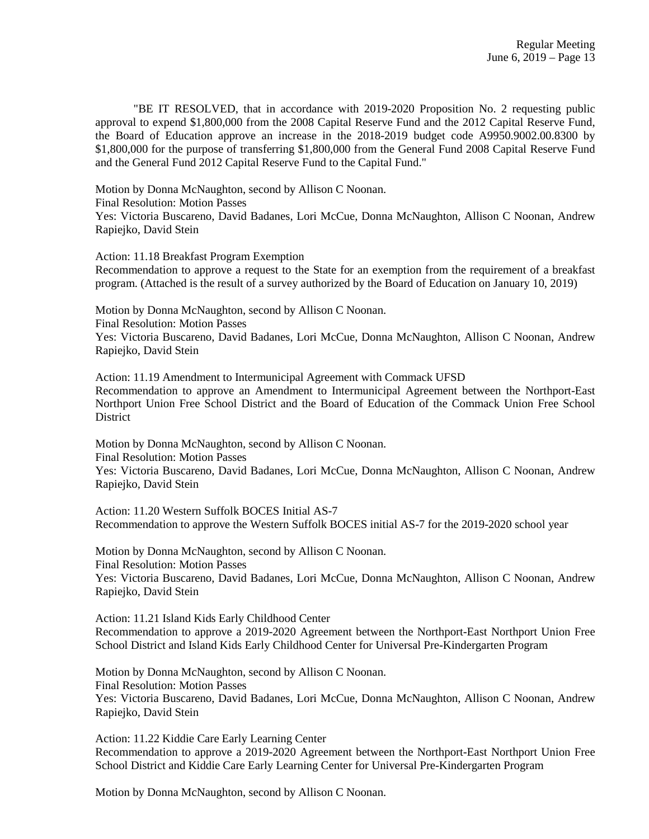"BE IT RESOLVED, that in accordance with 2019-2020 Proposition No. 2 requesting public approval to expend \$1,800,000 from the 2008 Capital Reserve Fund and the 2012 Capital Reserve Fund, the Board of Education approve an increase in the 2018-2019 budget code A9950.9002.00.8300 by \$1,800,000 for the purpose of transferring \$1,800,000 from the General Fund 2008 Capital Reserve Fund and the General Fund 2012 Capital Reserve Fund to the Capital Fund."

Motion by Donna McNaughton, second by Allison C Noonan.

Final Resolution: Motion Passes

Yes: Victoria Buscareno, David Badanes, Lori McCue, Donna McNaughton, Allison C Noonan, Andrew Rapiejko, David Stein

Action: 11.18 Breakfast Program Exemption

Recommendation to approve a request to the State for an exemption from the requirement of a breakfast program. (Attached is the result of a survey authorized by the Board of Education on January 10, 2019)

Motion by Donna McNaughton, second by Allison C Noonan.

Final Resolution: Motion Passes

Yes: Victoria Buscareno, David Badanes, Lori McCue, Donna McNaughton, Allison C Noonan, Andrew Rapiejko, David Stein

Action: 11.19 Amendment to Intermunicipal Agreement with Commack UFSD Recommendation to approve an Amendment to Intermunicipal Agreement between the Northport-East Northport Union Free School District and the Board of Education of the Commack Union Free School **District** 

Motion by Donna McNaughton, second by Allison C Noonan. Final Resolution: Motion Passes Yes: Victoria Buscareno, David Badanes, Lori McCue, Donna McNaughton, Allison C Noonan, Andrew Rapiejko, David Stein

Action: 11.20 Western Suffolk BOCES Initial AS-7 Recommendation to approve the Western Suffolk BOCES initial AS-7 for the 2019-2020 school year

Motion by Donna McNaughton, second by Allison C Noonan. Final Resolution: Motion Passes Yes: Victoria Buscareno, David Badanes, Lori McCue, Donna McNaughton, Allison C Noonan, Andrew Rapiejko, David Stein

Action: 11.21 Island Kids Early Childhood Center Recommendation to approve a 2019-2020 Agreement between the Northport-East Northport Union Free School District and Island Kids Early Childhood Center for Universal Pre-Kindergarten Program

Motion by Donna McNaughton, second by Allison C Noonan. Final Resolution: Motion Passes Yes: Victoria Buscareno, David Badanes, Lori McCue, Donna McNaughton, Allison C Noonan, Andrew Rapiejko, David Stein

Action: 11.22 Kiddie Care Early Learning Center Recommendation to approve a 2019-2020 Agreement between the Northport-East Northport Union Free School District and Kiddie Care Early Learning Center for Universal Pre-Kindergarten Program

Motion by Donna McNaughton, second by Allison C Noonan.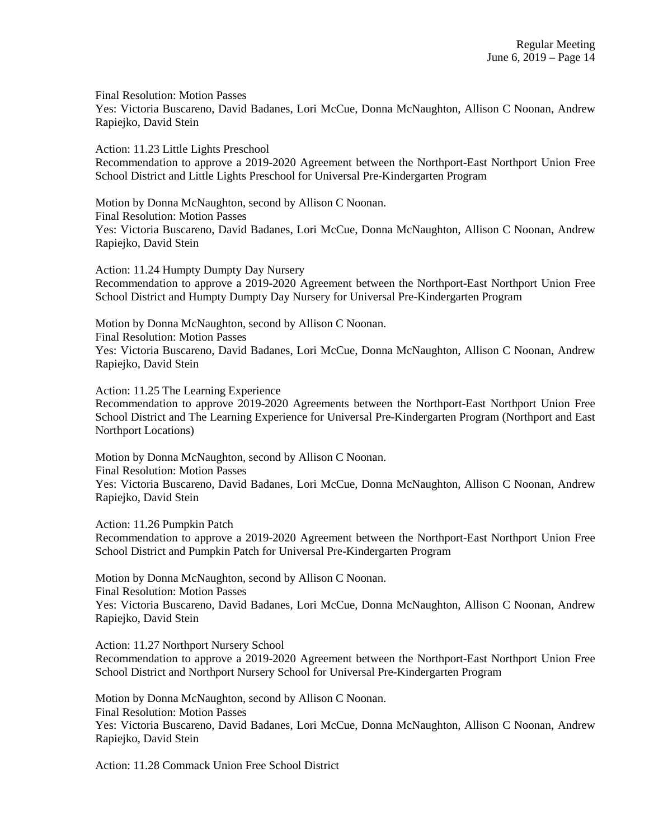Final Resolution: Motion Passes Yes: Victoria Buscareno, David Badanes, Lori McCue, Donna McNaughton, Allison C Noonan, Andrew Rapiejko, David Stein

Action: 11.23 Little Lights Preschool Recommendation to approve a 2019-2020 Agreement between the Northport-East Northport Union Free School District and Little Lights Preschool for Universal Pre-Kindergarten Program

Motion by Donna McNaughton, second by Allison C Noonan. Final Resolution: Motion Passes Yes: Victoria Buscareno, David Badanes, Lori McCue, Donna McNaughton, Allison C Noonan, Andrew Rapiejko, David Stein

Action: 11.24 Humpty Dumpty Day Nursery Recommendation to approve a 2019-2020 Agreement between the Northport-East Northport Union Free School District and Humpty Dumpty Day Nursery for Universal Pre-Kindergarten Program

Motion by Donna McNaughton, second by Allison C Noonan. Final Resolution: Motion Passes Yes: Victoria Buscareno, David Badanes, Lori McCue, Donna McNaughton, Allison C Noonan, Andrew Rapiejko, David Stein

Action: 11.25 The Learning Experience

Recommendation to approve 2019-2020 Agreements between the Northport-East Northport Union Free School District and The Learning Experience for Universal Pre-Kindergarten Program (Northport and East Northport Locations)

Motion by Donna McNaughton, second by Allison C Noonan. Final Resolution: Motion Passes Yes: Victoria Buscareno, David Badanes, Lori McCue, Donna McNaughton, Allison C Noonan, Andrew Rapiejko, David Stein

Action: 11.26 Pumpkin Patch

Recommendation to approve a 2019-2020 Agreement between the Northport-East Northport Union Free School District and Pumpkin Patch for Universal Pre-Kindergarten Program

Motion by Donna McNaughton, second by Allison C Noonan. Final Resolution: Motion Passes Yes: Victoria Buscareno, David Badanes, Lori McCue, Donna McNaughton, Allison C Noonan, Andrew Rapiejko, David Stein

Action: 11.27 Northport Nursery School Recommendation to approve a 2019-2020 Agreement between the Northport-East Northport Union Free School District and Northport Nursery School for Universal Pre-Kindergarten Program

Motion by Donna McNaughton, second by Allison C Noonan. Final Resolution: Motion Passes Yes: Victoria Buscareno, David Badanes, Lori McCue, Donna McNaughton, Allison C Noonan, Andrew Rapiejko, David Stein

Action: 11.28 Commack Union Free School District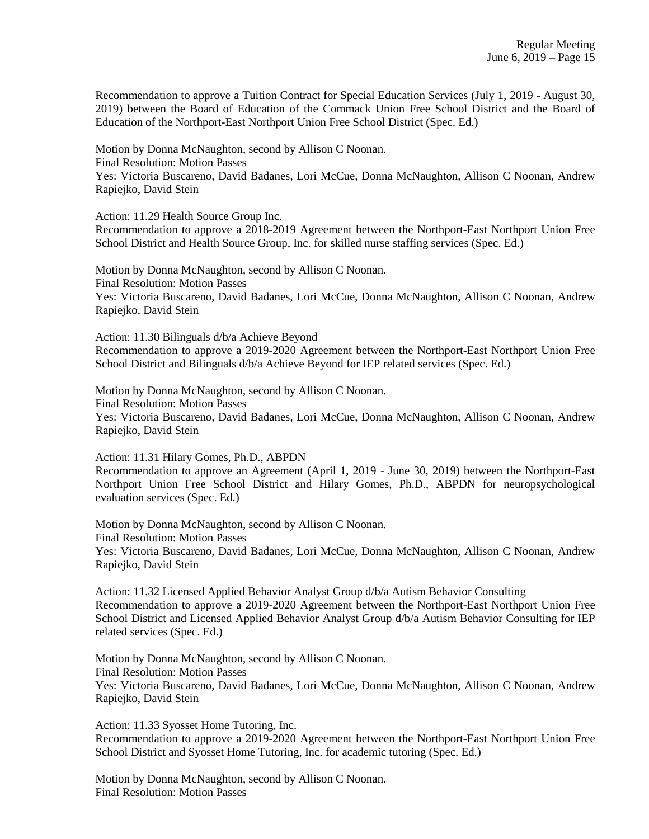Recommendation to approve a Tuition Contract for Special Education Services (July 1, 2019 - August 30, 2019) between the Board of Education of the Commack Union Free School District and the Board of Education of the Northport-East Northport Union Free School District (Spec. Ed.)

Motion by Donna McNaughton, second by Allison C Noonan. Final Resolution: Motion Passes Yes: Victoria Buscareno, David Badanes, Lori McCue, Donna McNaughton, Allison C Noonan, Andrew Rapiejko, David Stein

Action: 11.29 Health Source Group Inc.

Recommendation to approve a 2018-2019 Agreement between the Northport-East Northport Union Free School District and Health Source Group, Inc. for skilled nurse staffing services (Spec. Ed.)

Motion by Donna McNaughton, second by Allison C Noonan. Final Resolution: Motion Passes Yes: Victoria Buscareno, David Badanes, Lori McCue, Donna McNaughton, Allison C Noonan, Andrew Rapiejko, David Stein

Action: 11.30 Bilinguals d/b/a Achieve Beyond Recommendation to approve a 2019-2020 Agreement between the Northport-East Northport Union Free School District and Bilinguals d/b/a Achieve Beyond for IEP related services (Spec. Ed.)

Motion by Donna McNaughton, second by Allison C Noonan. Final Resolution: Motion Passes Yes: Victoria Buscareno, David Badanes, Lori McCue, Donna McNaughton, Allison C Noonan, Andrew Rapiejko, David Stein

Action: 11.31 Hilary Gomes, Ph.D., ABPDN

Recommendation to approve an Agreement (April 1, 2019 - June 30, 2019) between the Northport-East Northport Union Free School District and Hilary Gomes, Ph.D., ABPDN for neuropsychological evaluation services (Spec. Ed.)

Motion by Donna McNaughton, second by Allison C Noonan. Final Resolution: Motion Passes

Yes: Victoria Buscareno, David Badanes, Lori McCue, Donna McNaughton, Allison C Noonan, Andrew Rapiejko, David Stein

Action: 11.32 Licensed Applied Behavior Analyst Group d/b/a Autism Behavior Consulting Recommendation to approve a 2019-2020 Agreement between the Northport-East Northport Union Free School District and Licensed Applied Behavior Analyst Group  $d/b/a$  Autism Behavior Consulting for IEP related services (Spec. Ed.)

Motion by Donna McNaughton, second by Allison C Noonan. Final Resolution: Motion Passes Yes: Victoria Buscareno, David Badanes, Lori McCue, Donna McNaughton, Allison C Noonan, Andrew Rapiejko, David Stein

Action: 11.33 Syosset Home Tutoring, Inc. Recommendation to approve a 2019-2020 Agreement between the Northport-East Northport Union Free School District and Syosset Home Tutoring, Inc. for academic tutoring (Spec. Ed.)

Motion by Donna McNaughton, second by Allison C Noonan. Final Resolution: Motion Passes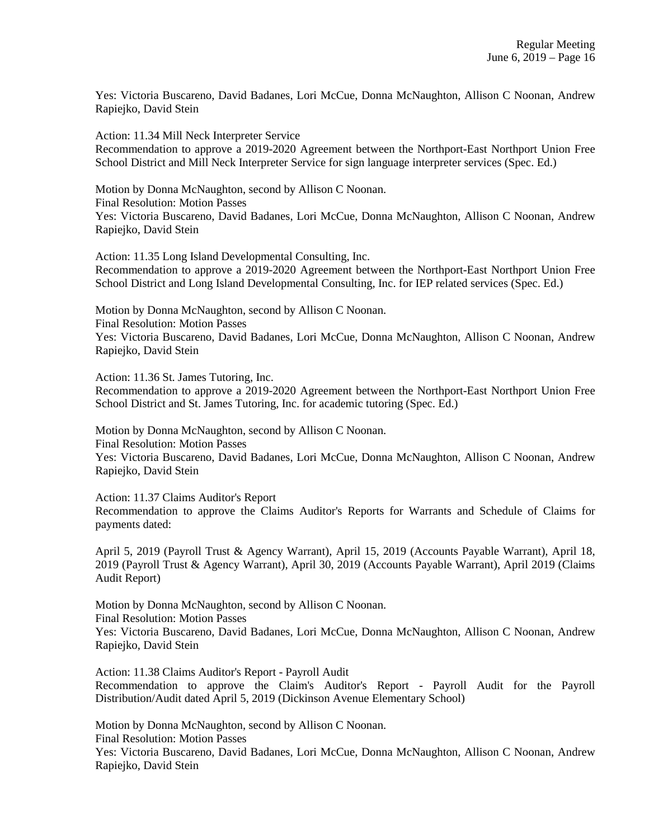Yes: Victoria Buscareno, David Badanes, Lori McCue, Donna McNaughton, Allison C Noonan, Andrew Rapiejko, David Stein

Action: 11.34 Mill Neck Interpreter Service Recommendation to approve a 2019-2020 Agreement between the Northport-East Northport Union Free School District and Mill Neck Interpreter Service for sign language interpreter services (Spec. Ed.)

Motion by Donna McNaughton, second by Allison C Noonan. Final Resolution: Motion Passes Yes: Victoria Buscareno, David Badanes, Lori McCue, Donna McNaughton, Allison C Noonan, Andrew Rapiejko, David Stein

Action: 11.35 Long Island Developmental Consulting, Inc. Recommendation to approve a 2019-2020 Agreement between the Northport-East Northport Union Free School District and Long Island Developmental Consulting, Inc. for IEP related services (Spec. Ed.)

Motion by Donna McNaughton, second by Allison C Noonan. Final Resolution: Motion Passes Yes: Victoria Buscareno, David Badanes, Lori McCue, Donna McNaughton, Allison C Noonan, Andrew Rapiejko, David Stein

Action: 11.36 St. James Tutoring, Inc.

Recommendation to approve a 2019-2020 Agreement between the Northport-East Northport Union Free School District and St. James Tutoring, Inc. for academic tutoring (Spec. Ed.)

Motion by Donna McNaughton, second by Allison C Noonan. Final Resolution: Motion Passes Yes: Victoria Buscareno, David Badanes, Lori McCue, Donna McNaughton, Allison C Noonan, Andrew Rapiejko, David Stein

Action: 11.37 Claims Auditor's Report

Recommendation to approve the Claims Auditor's Reports for Warrants and Schedule of Claims for payments dated:

April 5, 2019 (Payroll Trust & Agency Warrant), April 15, 2019 (Accounts Payable Warrant), April 18, 2019 (Payroll Trust & Agency Warrant), April 30, 2019 (Accounts Payable Warrant), April 2019 (Claims Audit Report)

Motion by Donna McNaughton, second by Allison C Noonan.

Final Resolution: Motion Passes

Yes: Victoria Buscareno, David Badanes, Lori McCue, Donna McNaughton, Allison C Noonan, Andrew Rapiejko, David Stein

Action: 11.38 Claims Auditor's Report - Payroll Audit Recommendation to approve the Claim's Auditor's Report - Payroll Audit for the Payroll Distribution/Audit dated April 5, 2019 (Dickinson Avenue Elementary School)

Motion by Donna McNaughton, second by Allison C Noonan.

Final Resolution: Motion Passes

Yes: Victoria Buscareno, David Badanes, Lori McCue, Donna McNaughton, Allison C Noonan, Andrew Rapiejko, David Stein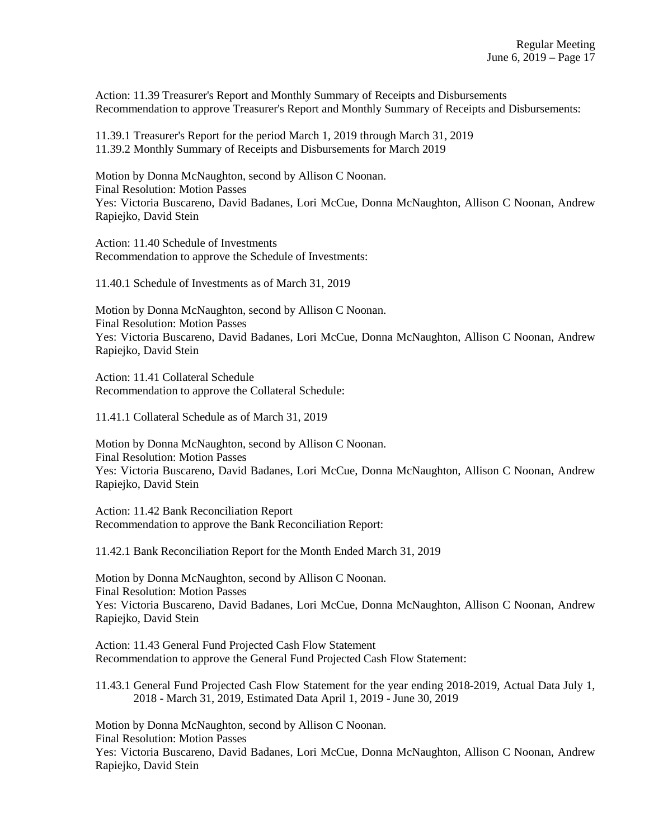Action: 11.39 Treasurer's Report and Monthly Summary of Receipts and Disbursements Recommendation to approve Treasurer's Report and Monthly Summary of Receipts and Disbursements:

11.39.1 Treasurer's Report for the period March 1, 2019 through March 31, 2019 11.39.2 Monthly Summary of Receipts and Disbursements for March 2019

Motion by Donna McNaughton, second by Allison C Noonan. Final Resolution: Motion Passes Yes: Victoria Buscareno, David Badanes, Lori McCue, Donna McNaughton, Allison C Noonan, Andrew Rapiejko, David Stein

Action: 11.40 Schedule of Investments Recommendation to approve the Schedule of Investments:

11.40.1 Schedule of Investments as of March 31, 2019

Motion by Donna McNaughton, second by Allison C Noonan. Final Resolution: Motion Passes Yes: Victoria Buscareno, David Badanes, Lori McCue, Donna McNaughton, Allison C Noonan, Andrew Rapiejko, David Stein

Action: 11.41 Collateral Schedule Recommendation to approve the Collateral Schedule:

11.41.1 Collateral Schedule as of March 31, 2019

Motion by Donna McNaughton, second by Allison C Noonan. Final Resolution: Motion Passes Yes: Victoria Buscareno, David Badanes, Lori McCue, Donna McNaughton, Allison C Noonan, Andrew Rapiejko, David Stein

Action: 11.42 Bank Reconciliation Report Recommendation to approve the Bank Reconciliation Report:

11.42.1 Bank Reconciliation Report for the Month Ended March 31, 2019

Motion by Donna McNaughton, second by Allison C Noonan. Final Resolution: Motion Passes Yes: Victoria Buscareno, David Badanes, Lori McCue, Donna McNaughton, Allison C Noonan, Andrew Rapiejko, David Stein

Action: 11.43 General Fund Projected Cash Flow Statement Recommendation to approve the General Fund Projected Cash Flow Statement:

11.43.1 General Fund Projected Cash Flow Statement for the year ending 2018-2019, Actual Data July 1, 2018 - March 31, 2019, Estimated Data April 1, 2019 - June 30, 2019

Motion by Donna McNaughton, second by Allison C Noonan.

Final Resolution: Motion Passes

Yes: Victoria Buscareno, David Badanes, Lori McCue, Donna McNaughton, Allison C Noonan, Andrew Rapiejko, David Stein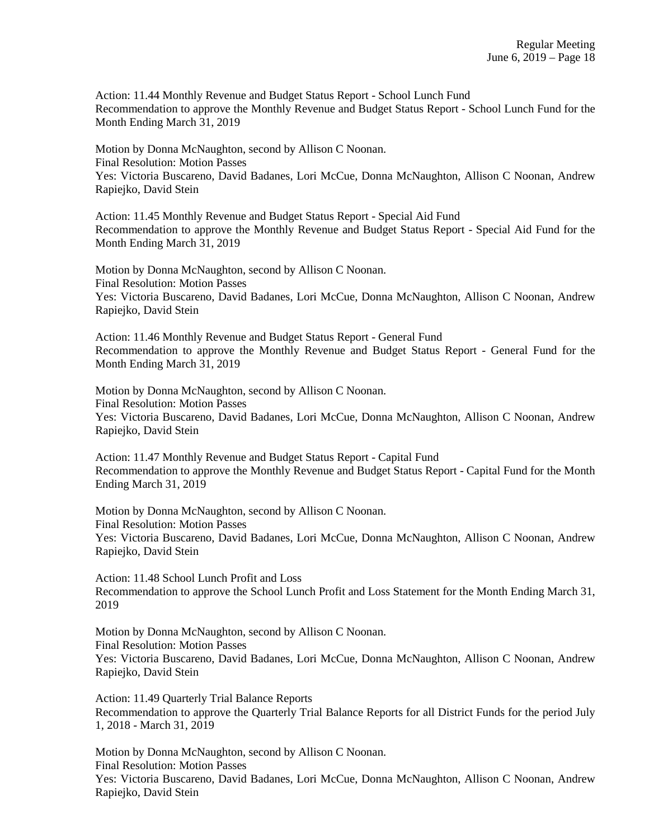Action: 11.44 Monthly Revenue and Budget Status Report - School Lunch Fund Recommendation to approve the Monthly Revenue and Budget Status Report - School Lunch Fund for the Month Ending March 31, 2019

Motion by Donna McNaughton, second by Allison C Noonan. Final Resolution: Motion Passes Yes: Victoria Buscareno, David Badanes, Lori McCue, Donna McNaughton, Allison C Noonan, Andrew Rapiejko, David Stein

Action: 11.45 Monthly Revenue and Budget Status Report - Special Aid Fund Recommendation to approve the Monthly Revenue and Budget Status Report - Special Aid Fund for the Month Ending March 31, 2019

Motion by Donna McNaughton, second by Allison C Noonan. Final Resolution: Motion Passes Yes: Victoria Buscareno, David Badanes, Lori McCue, Donna McNaughton, Allison C Noonan, Andrew Rapiejko, David Stein

Action: 11.46 Monthly Revenue and Budget Status Report - General Fund Recommendation to approve the Monthly Revenue and Budget Status Report - General Fund for the Month Ending March 31, 2019

Motion by Donna McNaughton, second by Allison C Noonan. Final Resolution: Motion Passes Yes: Victoria Buscareno, David Badanes, Lori McCue, Donna McNaughton, Allison C Noonan, Andrew Rapiejko, David Stein

Action: 11.47 Monthly Revenue and Budget Status Report - Capital Fund Recommendation to approve the Monthly Revenue and Budget Status Report - Capital Fund for the Month Ending March 31, 2019

Motion by Donna McNaughton, second by Allison C Noonan. Final Resolution: Motion Passes Yes: Victoria Buscareno, David Badanes, Lori McCue, Donna McNaughton, Allison C Noonan, Andrew Rapiejko, David Stein

Action: 11.48 School Lunch Profit and Loss Recommendation to approve the School Lunch Profit and Loss Statement for the Month Ending March 31, 2019

Motion by Donna McNaughton, second by Allison C Noonan. Final Resolution: Motion Passes Yes: Victoria Buscareno, David Badanes, Lori McCue, Donna McNaughton, Allison C Noonan, Andrew Rapiejko, David Stein

Action: 11.49 Quarterly Trial Balance Reports Recommendation to approve the Quarterly Trial Balance Reports for all District Funds for the period July 1, 2018 - March 31, 2019

Motion by Donna McNaughton, second by Allison C Noonan. Final Resolution: Motion Passes Yes: Victoria Buscareno, David Badanes, Lori McCue, Donna McNaughton, Allison C Noonan, Andrew Rapiejko, David Stein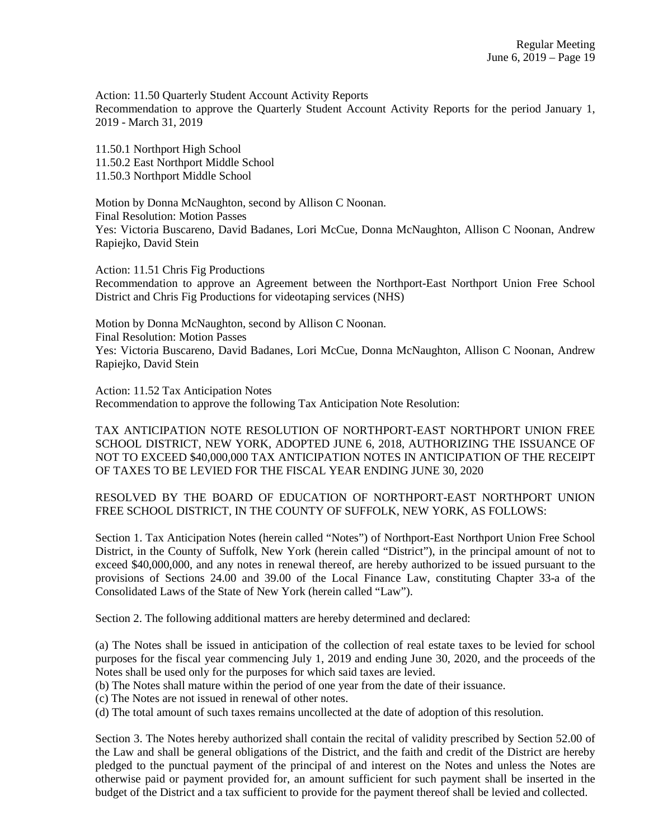Action: 11.50 Quarterly Student Account Activity Reports Recommendation to approve the Quarterly Student Account Activity Reports for the period January 1, 2019 - March 31, 2019

11.50.1 Northport High School 11.50.2 East Northport Middle School 11.50.3 Northport Middle School

Motion by Donna McNaughton, second by Allison C Noonan. Final Resolution: Motion Passes Yes: Victoria Buscareno, David Badanes, Lori McCue, Donna McNaughton, Allison C Noonan, Andrew Rapiejko, David Stein

Action: 11.51 Chris Fig Productions Recommendation to approve an Agreement between the Northport-East Northport Union Free School District and Chris Fig Productions for videotaping services (NHS)

Motion by Donna McNaughton, second by Allison C Noonan. Final Resolution: Motion Passes Yes: Victoria Buscareno, David Badanes, Lori McCue, Donna McNaughton, Allison C Noonan, Andrew Rapiejko, David Stein

Action: 11.52 Tax Anticipation Notes Recommendation to approve the following Tax Anticipation Note Resolution:

TAX ANTICIPATION NOTE RESOLUTION OF NORTHPORT-EAST NORTHPORT UNION FREE SCHOOL DISTRICT, NEW YORK, ADOPTED JUNE 6, 2018, AUTHORIZING THE ISSUANCE OF NOT TO EXCEED \$40,000,000 TAX ANTICIPATION NOTES IN ANTICIPATION OF THE RECEIPT OF TAXES TO BE LEVIED FOR THE FISCAL YEAR ENDING JUNE 30, 2020

RESOLVED BY THE BOARD OF EDUCATION OF NORTHPORT-EAST NORTHPORT UNION FREE SCHOOL DISTRICT, IN THE COUNTY OF SUFFOLK, NEW YORK, AS FOLLOWS:

Section 1. Tax Anticipation Notes (herein called "Notes") of Northport-East Northport Union Free School District, in the County of Suffolk, New York (herein called "District"), in the principal amount of not to exceed \$40,000,000, and any notes in renewal thereof, are hereby authorized to be issued pursuant to the provisions of Sections 24.00 and 39.00 of the Local Finance Law, constituting Chapter 33-a of the Consolidated Laws of the State of New York (herein called "Law").

Section 2. The following additional matters are hereby determined and declared:

(a) The Notes shall be issued in anticipation of the collection of real estate taxes to be levied for school purposes for the fiscal year commencing July 1, 2019 and ending June 30, 2020, and the proceeds of the Notes shall be used only for the purposes for which said taxes are levied.

(b) The Notes shall mature within the period of one year from the date of their issuance.

(c) The Notes are not issued in renewal of other notes.

(d) The total amount of such taxes remains uncollected at the date of adoption of this resolution.

Section 3. The Notes hereby authorized shall contain the recital of validity prescribed by Section 52.00 of the Law and shall be general obligations of the District, and the faith and credit of the District are hereby pledged to the punctual payment of the principal of and interest on the Notes and unless the Notes are otherwise paid or payment provided for, an amount sufficient for such payment shall be inserted in the budget of the District and a tax sufficient to provide for the payment thereof shall be levied and collected.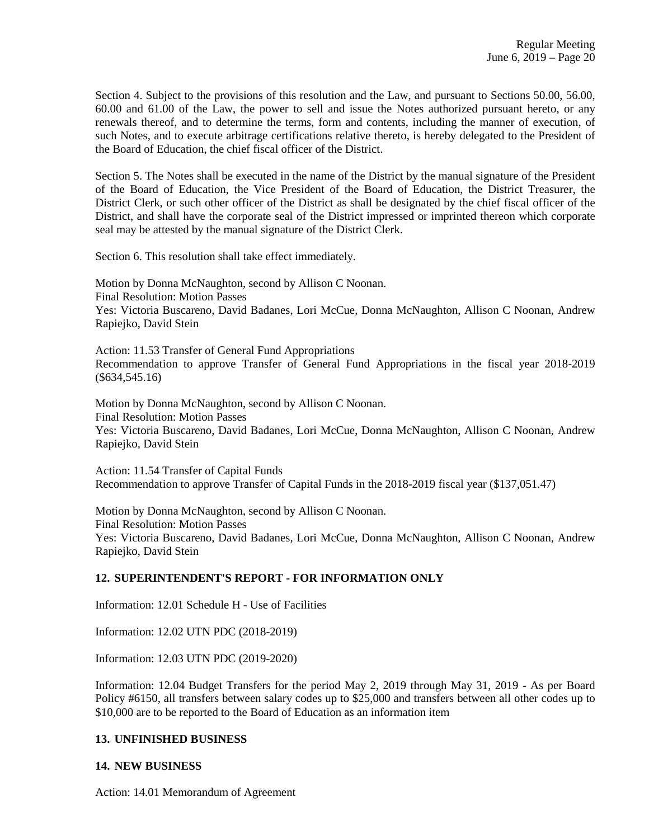Section 4. Subject to the provisions of this resolution and the Law, and pursuant to Sections 50.00, 56.00, 60.00 and 61.00 of the Law, the power to sell and issue the Notes authorized pursuant hereto, or any renewals thereof, and to determine the terms, form and contents, including the manner of execution, of such Notes, and to execute arbitrage certifications relative thereto, is hereby delegated to the President of the Board of Education, the chief fiscal officer of the District.

Section 5. The Notes shall be executed in the name of the District by the manual signature of the President of the Board of Education, the Vice President of the Board of Education, the District Treasurer, the District Clerk, or such other officer of the District as shall be designated by the chief fiscal officer of the District, and shall have the corporate seal of the District impressed or imprinted thereon which corporate seal may be attested by the manual signature of the District Clerk.

Section 6. This resolution shall take effect immediately.

Motion by Donna McNaughton, second by Allison C Noonan. Final Resolution: Motion Passes Yes: Victoria Buscareno, David Badanes, Lori McCue, Donna McNaughton, Allison C Noonan, Andrew Rapiejko, David Stein

Action: 11.53 Transfer of General Fund Appropriations Recommendation to approve Transfer of General Fund Appropriations in the fiscal year 2018-2019 (\$634,545.16)

Motion by Donna McNaughton, second by Allison C Noonan. Final Resolution: Motion Passes Yes: Victoria Buscareno, David Badanes, Lori McCue, Donna McNaughton, Allison C Noonan, Andrew Rapiejko, David Stein

Action: 11.54 Transfer of Capital Funds Recommendation to approve Transfer of Capital Funds in the 2018-2019 fiscal year (\$137,051.47)

Motion by Donna McNaughton, second by Allison C Noonan. Final Resolution: Motion Passes Yes: Victoria Buscareno, David Badanes, Lori McCue, Donna McNaughton, Allison C Noonan, Andrew Rapiejko, David Stein

### **12. SUPERINTENDENT'S REPORT - FOR INFORMATION ONLY**

Information: 12.01 Schedule H - Use of Facilities

Information: 12.02 UTN PDC (2018-2019)

Information: 12.03 UTN PDC (2019-2020)

Information: 12.04 Budget Transfers for the period May 2, 2019 through May 31, 2019 - As per Board Policy #6150, all transfers between salary codes up to \$25,000 and transfers between all other codes up to \$10,000 are to be reported to the Board of Education as an information item

### **13. UNFINISHED BUSINESS**

#### **14. NEW BUSINESS**

Action: 14.01 Memorandum of Agreement